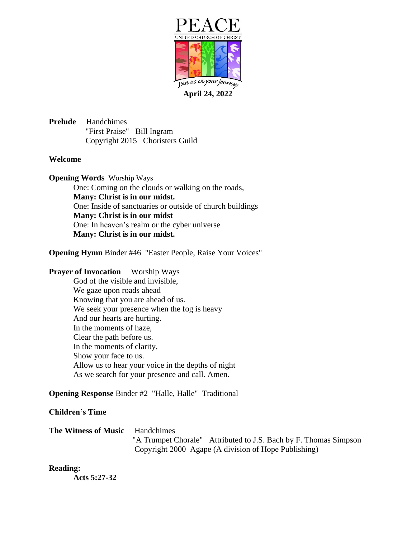

**April 24, 2022**

**Prelude** Handchimes "First Praise" Bill Ingram Copyright 2015 Choristers Guild

#### **Welcome**

**Opening Words** Worship Ways One: Coming on the clouds or walking on the roads, **Many: Christ is in our midst.** One: Inside of sanctuaries or outside of church buildings **Many: Christ is in our midst** One: In heaven's realm or the cyber universe **Many: Christ is in our midst.**

**Opening Hymn** Binder #46 "Easter People, Raise Your Voices"

#### **Prayer of Invocation** Worship Ways

God of the visible and invisible, We gaze upon roads ahead Knowing that you are ahead of us. We seek your presence when the fog is heavy And our hearts are hurting. In the moments of haze, Clear the path before us. In the moments of clarity, Show your face to us. Allow us to hear your voice in the depths of night As we search for your presence and call. Amen.

# **Opening Response** Binder #2 "Halle, Halle" Traditional

#### **Children's Time**

| <b>The Witness of Music</b> Handchimes |                                                      |                                                                  |
|----------------------------------------|------------------------------------------------------|------------------------------------------------------------------|
|                                        |                                                      | "A Trumpet Chorale" Attributed to J.S. Bach by F. Thomas Simpson |
|                                        | Copyright 2000 Agape (A division of Hope Publishing) |                                                                  |

# **Reading:**

**Acts 5:27-32**